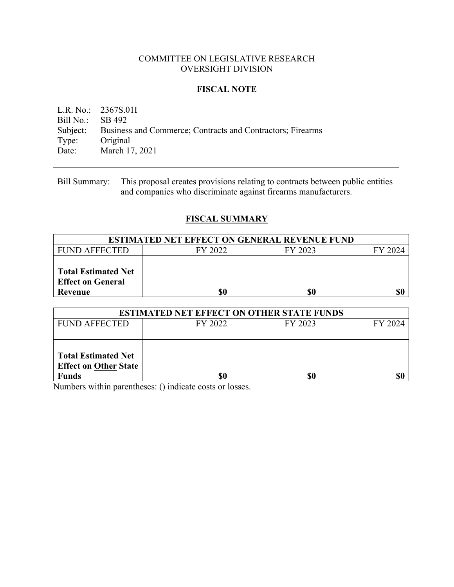## COMMITTEE ON LEGISLATIVE RESEARCH OVERSIGHT DIVISION

## **FISCAL NOTE**

L.R. No.: 2367S.01I Bill No.: SB 492 Subject: Business and Commerce; Contracts and Contractors; Firearms Type: Original Date: March 17, 2021

Bill Summary: This proposal creates provisions relating to contracts between public entities and companies who discriminate against firearms manufacturers.

# **FISCAL SUMMARY**

| <b>ESTIMATED NET EFFECT ON GENERAL REVENUE FUND</b> |         |         |         |  |
|-----------------------------------------------------|---------|---------|---------|--|
| <b>FUND AFFECTED</b>                                | FY 2022 | FY 2023 | FY 2024 |  |
|                                                     |         |         |         |  |
| <b>Total Estimated Net</b>                          |         |         |         |  |
| <b>Effect on General</b>                            |         |         |         |  |
| Revenue                                             | \$0     | \$0     | \$0     |  |

| <b>ESTIMATED NET EFFECT ON OTHER STATE FUNDS</b> |         |         |         |  |
|--------------------------------------------------|---------|---------|---------|--|
| <b>FUND AFFECTED</b>                             | FY 2022 | FY 2023 | FY 2024 |  |
|                                                  |         |         |         |  |
|                                                  |         |         |         |  |
| <b>Total Estimated Net</b>                       |         |         |         |  |
| <b>Effect on Other State</b>                     |         |         |         |  |
| <b>Funds</b>                                     | \$0     | \$0     | \$0     |  |

Numbers within parentheses: () indicate costs or losses.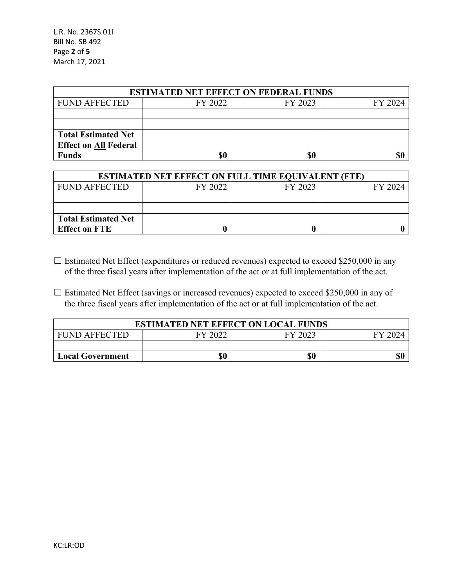| <b>ESTIMATED NET EFFECT ON FEDERAL FUNDS</b> |         |         |         |  |
|----------------------------------------------|---------|---------|---------|--|
| <b>FUND AFFECTED</b>                         | FY 2022 | FY 2023 | FY 2024 |  |
|                                              |         |         |         |  |
|                                              |         |         |         |  |
| <b>Total Estimated Net</b>                   |         |         |         |  |
| <b>Effect on All Federal</b>                 |         |         |         |  |
| <b>Funds</b>                                 |         | \$0     |         |  |

| <b>ESTIMATED NET EFFECT ON FULL TIME EQUIVALENT (FTE)</b> |         |         |         |  |
|-----------------------------------------------------------|---------|---------|---------|--|
| <b>FUND AFFECTED</b>                                      | FY 2022 | FY 2023 | FY 2024 |  |
|                                                           |         |         |         |  |
|                                                           |         |         |         |  |
| <b>Total Estimated Net</b>                                |         |         |         |  |
| <b>Effect on FTE</b>                                      |         |         |         |  |

- $\Box$  Estimated Net Effect (expenditures or reduced revenues) expected to exceed \$250,000 in any of the three fiscal years after implementation of the act or at full implementation of the act.
- □ Estimated Net Effect (savings or increased revenues) expected to exceed \$250,000 in any of the three fiscal years after implementation of the act or at full implementation of the act.

| <b>ESTIMATED NET EFFECT ON LOCAL FUNDS</b> |         |         |        |
|--------------------------------------------|---------|---------|--------|
| <b>FUND AFFECTED</b>                       | FY 2022 | FY 2023 | EV 200 |
|                                            |         |         |        |
| <b>Local Government</b>                    | \$0     | \$0     |        |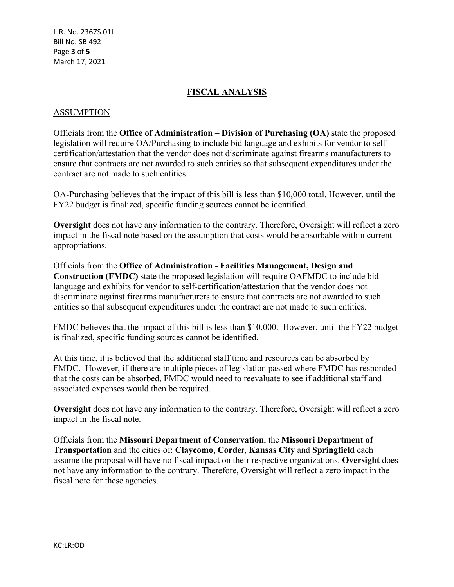L.R. No. 2367S.01I Bill No. SB 492 Page **3** of **5** March 17, 2021

## **FISCAL ANALYSIS**

#### ASSUMPTION

Officials from the **Office of Administration – Division of Purchasing (OA)** state the proposed legislation will require OA/Purchasing to include bid language and exhibits for vendor to selfcertification/attestation that the vendor does not discriminate against firearms manufacturers to ensure that contracts are not awarded to such entities so that subsequent expenditures under the contract are not made to such entities.

OA-Purchasing believes that the impact of this bill is less than \$10,000 total. However, until the FY22 budget is finalized, specific funding sources cannot be identified.

**Oversight** does not have any information to the contrary. Therefore, Oversight will reflect a zero impact in the fiscal note based on the assumption that costs would be absorbable within current appropriations.

Officials from the **Office of Administration - Facilities Management, Design and Construction (FMDC)** state the proposed legislation will require OAFMDC to include bid language and exhibits for vendor to self-certification/attestation that the vendor does not discriminate against firearms manufacturers to ensure that contracts are not awarded to such entities so that subsequent expenditures under the contract are not made to such entities.

FMDC believes that the impact of this bill is less than \$10,000. However, until the FY22 budget is finalized, specific funding sources cannot be identified.

At this time, it is believed that the additional staff time and resources can be absorbed by FMDC. However, if there are multiple pieces of legislation passed where FMDC has responded that the costs can be absorbed, FMDC would need to reevaluate to see if additional staff and associated expenses would then be required.

**Oversight** does not have any information to the contrary. Therefore, Oversight will reflect a zero impact in the fiscal note.

Officials from the **Missouri Department of Conservation**, the **Missouri Department of Transportation** and the cities of: **Claycomo**, **Corde**r, **Kansas City** and **Springfield** each assume the proposal will have no fiscal impact on their respective organizations. **Oversight** does not have any information to the contrary. Therefore, Oversight will reflect a zero impact in the fiscal note for these agencies.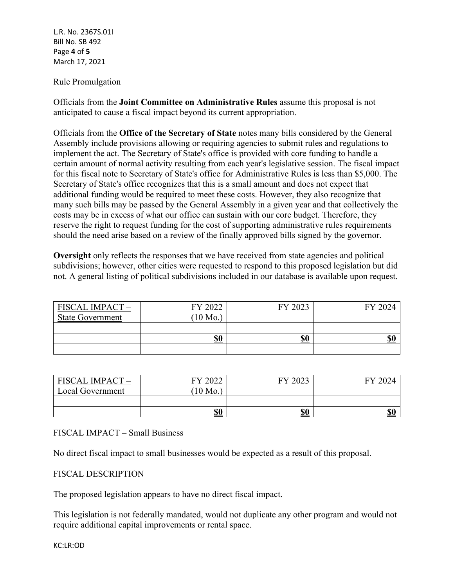L.R. No. 2367S.01I Bill No. SB 492 Page **4** of **5** March 17, 2021

## Rule Promulgation

Officials from the **Joint Committee on Administrative Rules** assume this proposal is not anticipated to cause a fiscal impact beyond its current appropriation.

Officials from the **Office of the Secretary of State** notes many bills considered by the General Assembly include provisions allowing or requiring agencies to submit rules and regulations to implement the act. The Secretary of State's office is provided with core funding to handle a certain amount of normal activity resulting from each year's legislative session. The fiscal impact for this fiscal note to Secretary of State's office for Administrative Rules is less than \$5,000. The Secretary of State's office recognizes that this is a small amount and does not expect that additional funding would be required to meet these costs. However, they also recognize that many such bills may be passed by the General Assembly in a given year and that collectively the costs may be in excess of what our office can sustain with our core budget. Therefore, they reserve the right to request funding for the cost of supporting administrative rules requirements should the need arise based on a review of the finally approved bills signed by the governor.

**Oversight** only reflects the responses that we have received from state agencies and political subdivisions; however, other cities were requested to respond to this proposed legislation but did not. A general listing of political subdivisions included in our database is available upon request.

| <b>FISCAL IMPACT -</b><br><b>State Government</b> | FY 2022<br>$(10 \text{ Mo.})$ | FY 2023    | FY 2024                               |
|---------------------------------------------------|-------------------------------|------------|---------------------------------------|
|                                                   |                               |            |                                       |
|                                                   | \$0                           | <u>\$0</u> | $\underline{\mathbb{S}}\underline{0}$ |
|                                                   |                               |            |                                       |

| FISCAL IMPACT-          | FY 2022  | FY 2023 | FY 2024 |
|-------------------------|----------|---------|---------|
| <b>Local Government</b> | $10$ Mo. |         |         |
|                         |          |         |         |
|                         | \$0      | \$0     | \$0     |

## FISCAL IMPACT – Small Business

No direct fiscal impact to small businesses would be expected as a result of this proposal.

#### FISCAL DESCRIPTION

The proposed legislation appears to have no direct fiscal impact.

This legislation is not federally mandated, would not duplicate any other program and would not require additional capital improvements or rental space.

KC:LR:OD